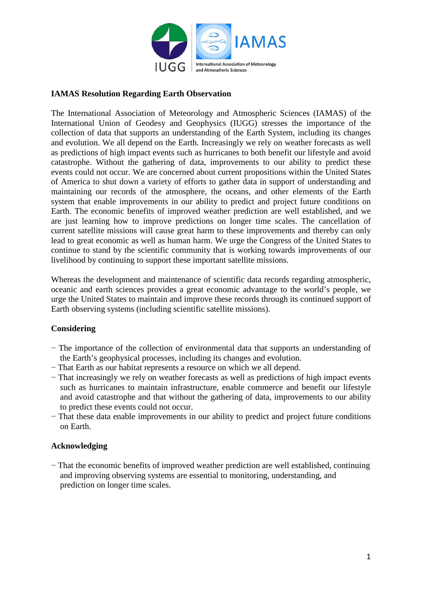

## **IAMAS Resolution Regarding Earth Observation**

The International Association of Meteorology and Atmospheric Sciences (IAMAS) of the International Union of Geodesy and Geophysics (IUGG) stresses the importance of the collection of data that supports an understanding of the Earth System, including its changes and evolution. We all depend on the Earth. Increasingly we rely on weather forecasts as well as predictions of high impact events such as hurricanes to both benefit our lifestyle and avoid catastrophe. Without the gathering of data, improvements to our ability to predict these events could not occur. We are concerned about current propositions within the United States of America to shut down a variety of efforts to gather data in support of understanding and maintaining our records of the atmosphere, the oceans, and other elements of the Earth system that enable improvements in our ability to predict and project future conditions on Earth. The economic benefits of improved weather prediction are well established, and we are just learning how to improve predictions on longer time scales. The cancellation of current satellite missions will cause great harm to these improvements and thereby can only lead to great economic as well as human harm. We urge the Congress of the United States to continue to stand by the scientific community that is working towards improvements of our livelihood by continuing to support these important satellite missions.

Whereas the development and maintenance of scientific data records regarding atmospheric, oceanic and earth sciences provides a great economic advantage to the world's people, we urge the United States to maintain and improve these records through its continued support of Earth observing systems (including scientific satellite missions).

#### **Considering**

- − The importance of the collection of environmental data that supports an understanding of the Earth's geophysical processes, including its changes and evolution.
- − That Earth as our habitat represents a resource on which we all depend.
- − That increasingly we rely on weather forecasts as well as predictions of high impact events such as hurricanes to maintain infrastructure, enable commerce and benefit our lifestyle and avoid catastrophe and that without the gathering of data, improvements to our ability to predict these events could not occur.
- − That these data enable improvements in our ability to predict and project future conditions on Earth.

#### **Acknowledging**

− That the economic benefits of improved weather prediction are well established, continuing and improving observing systems are essential to monitoring, understanding, and prediction on longer time scales.